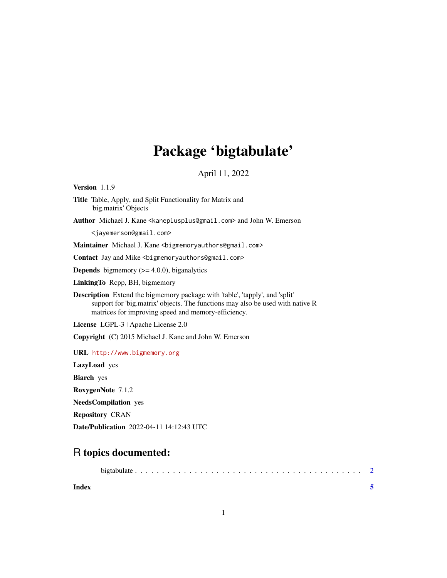## Package 'bigtabulate'

April 11, 2022

<span id="page-0-0"></span>Version 1.1.9

Title Table, Apply, and Split Functionality for Matrix and 'big.matrix' Objects

Author Michael J. Kane <kaneplusplus@gmail.com> and John W. Emerson

<jayemerson@gmail.com>

Maintainer Michael J. Kane <bigmemoryauthors@gmail.com>

Contact Jay and Mike <bigmemoryauthors@gmail.com>

**Depends** bigmemory  $(>= 4.0.0)$ , biganalytics

LinkingTo Rcpp, BH, bigmemory

Description Extend the bigmemory package with 'table', 'tapply', and 'split' support for 'big.matrix' objects. The functions may also be used with native R matrices for improving speed and memory-efficiency.

License LGPL-3 | Apache License 2.0

Copyright (C) 2015 Michael J. Kane and John W. Emerson

URL <http://www.bigmemory.org>

LazyLoad yes

Biarch yes

RoxygenNote 7.1.2

NeedsCompilation yes

Repository CRAN

Date/Publication 2022-04-11 14:12:43 UTC

### R topics documented:

| Index |  |  |  |  |  |  |  |  |  |  |  |  |  |  |
|-------|--|--|--|--|--|--|--|--|--|--|--|--|--|--|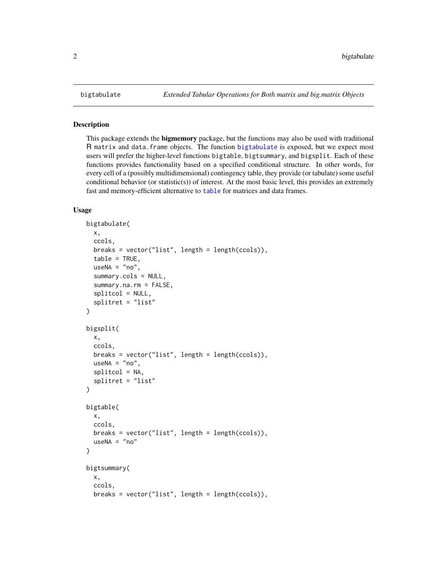#### Description

This package extends the **bigmemory** package, but the functions may also be used with traditional R matrix and data.frame objects. The function [bigtabulate](#page-1-1) is exposed, but we expect most users will prefer the higher-level functions bigtable, bigtsummary, and bigsplit. Each of these functions provides functionality based on a specified conditional structure. In other words, for every cell of a (possibly multidimensional) contingency table, they provide (or tabulate) some useful conditional behavior (or statistic(s)) of interest. At the most basic level, this provides an extremely fast and memory-efficient alternative to [table](#page-0-0) for matrices and data frames.

#### Usage

```
bigtabulate(
  x,
  ccols,
  breaks = vector("list", length = length(ccols)),
  table = TRUE,useNA = "no",summary.cols = NULL,
  summary.na.rm = FALSE,
  splitcol = NULL,
  splitret = "list"
)
bigsplit(
  x,
  ccols,
  breaks = vector("list", length = length(ccols)),
  useNA = "no",splitcol = NA,
  splitret = "list"
)
bigtable(
  x,
  ccols,
  breaks = vector("list", length = length(ccols)),
  useNA = "no")
bigtsummary(
  x,
  ccols,
  breaks = vector("list", length = length(ccols)),
```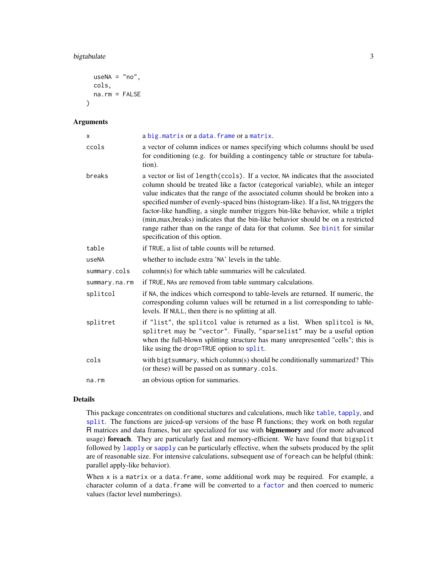#### <span id="page-2-0"></span>bigtabulate 3

```
useNA = "no",cols,
  na.rm = FALSE
\lambda
```
#### Arguments

| X             | a big. matrix or a data. frame or a matrix.                                                                                                                                                                                                                                                                                                                                                                                                                                                                                                                                                                                                |
|---------------|--------------------------------------------------------------------------------------------------------------------------------------------------------------------------------------------------------------------------------------------------------------------------------------------------------------------------------------------------------------------------------------------------------------------------------------------------------------------------------------------------------------------------------------------------------------------------------------------------------------------------------------------|
| ccols         | a vector of column indices or names specifying which columns should be used<br>for conditioning (e.g. for building a contingency table or structure for tabula-<br>tion).                                                                                                                                                                                                                                                                                                                                                                                                                                                                  |
| breaks        | a vector or list of length (ccols). If a vector, NA indicates that the associated<br>column should be treated like a factor (categorical variable), while an integer<br>value indicates that the range of the associated column should be broken into a<br>specified number of evenly-spaced bins (histogram-like). If a list, NA triggers the<br>factor-like handling, a single number triggers bin-like behavior, while a triplet<br>(min, max, breaks) indicates that the bin-like behavior should be on a restricted<br>range rather than on the range of data for that column. See binit for similar<br>specification of this option. |
| table         | if TRUE, a list of table counts will be returned.                                                                                                                                                                                                                                                                                                                                                                                                                                                                                                                                                                                          |
| useNA         | whether to include extra 'NA' levels in the table.                                                                                                                                                                                                                                                                                                                                                                                                                                                                                                                                                                                         |
| summary.cols  | column(s) for which table summaries will be calculated.                                                                                                                                                                                                                                                                                                                                                                                                                                                                                                                                                                                    |
| summary.na.rm | if TRUE, NAs are removed from table summary calculations.                                                                                                                                                                                                                                                                                                                                                                                                                                                                                                                                                                                  |
| splitcol      | if NA, the indices which correspond to table-levels are returned. If numeric, the<br>corresponding column values will be returned in a list corresponding to table-<br>levels. If NULL, then there is no splitting at all.                                                                                                                                                                                                                                                                                                                                                                                                                 |
| splitret      | if "list", the splitcol value is returned as a list. When splitcol is NA,<br>splitret may be "vector". Finally, "sparselist" may be a useful option<br>when the full-blown splitting structure has many unrepresented "cells"; this is<br>like using the drop=TRUE option to split.                                                                                                                                                                                                                                                                                                                                                        |
| cols          | with bigtsummary, which column(s) should be conditionally summarized? This<br>(or these) will be passed on as summary.cols.                                                                                                                                                                                                                                                                                                                                                                                                                                                                                                                |
| na.rm         | an obvious option for summaries.                                                                                                                                                                                                                                                                                                                                                                                                                                                                                                                                                                                                           |

#### Details

This package concentrates on conditional stuctures and calculations, much like [table](#page-0-0), [tapply](#page-0-0), and [split](#page-0-0). The functions are juiced-up versions of the base R functions; they work on both regular R matrices and data frames, but are specialized for use with bigmemory and (for more advanced usage) foreach. They are particularly fast and memory-efficient. We have found that bigsplit followed by [lapply](#page-0-0) or [sapply](#page-0-0) can be particularly effective, when the subsets produced by the split are of reasonable size. For intensive calculations, subsequent use of foreach can be helpful (think: parallel apply-like behavior).

When x is a matrix or a data.frame, some additional work may be required. For example, a character column of a data.frame will be converted to a [factor](#page-0-0) and then coerced to numeric values (factor level numberings).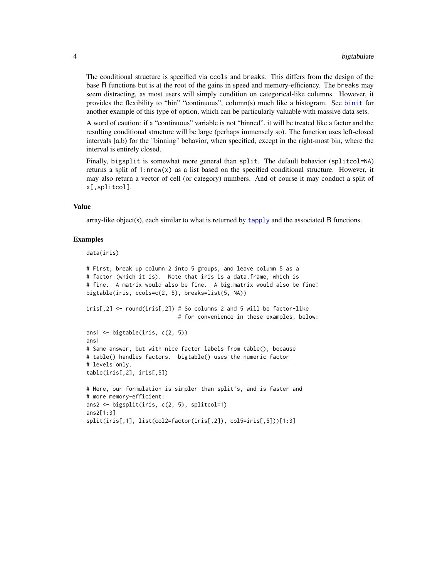The conditional structure is specified via ccols and breaks. This differs from the design of the base R functions but is at the root of the gains in speed and memory-efficiency. The breaks may seem distracting, as most users will simply condition on categorical-like columns. However, it provides the flexibility to "bin" "continuous", column(s) much like a histogram. See [binit](#page-0-0) for another example of this type of option, which can be particularly valuable with massive data sets.

A word of caution: if a "continuous" variable is not "binned", it will be treated like a factor and the resulting conditional structure will be large (perhaps immensely so). The function uses left-closed intervals [a,b) for the "binning" behavior, when specified, except in the right-most bin, where the interval is entirely closed.

Finally, bigsplit is somewhat more general than split. The default behavior (splitcol=NA) returns a split of  $1:nrow(x)$  as a list based on the specified conditional structure. However, it may also return a vector of cell (or category) numbers. And of course it may conduct a split of x[,splitcol].

#### Value

array-like object(s), each similar to what is returned by [tapply](#page-0-0) and the associated R functions.

#### Examples

```
data(iris)
```

```
# First, break up column 2 into 5 groups, and leave column 5 as a
# factor (which it is). Note that iris is a data.frame, which is
# fine. A matrix would also be fine. A big.matrix would also be fine!
bigtable(iris, ccols=c(2, 5), breaks=list(5, NA))
iris[,2] <- round(iris[,2]) # So columns 2 and 5 will be factor-like
                            # for convenience in these examples, below:
ans1 <- bigtable(iris, c(2, 5))
ans1
# Same answer, but with nice factor labels from table(), because
# table() handles factors. bigtable() uses the numeric factor
# levels only.
table(iris[,2], iris[,5])
# Here, our formulation is simpler than split's, and is faster and
# more memory-efficient:
ans2 <- bigsplit(iris, c(2, 5), splitcol=1)
ans2[1:3]
split(iris[,1], list(col2=factor(iris[,2]), col5=iris[,5]))[1:3]
```
<span id="page-3-0"></span>